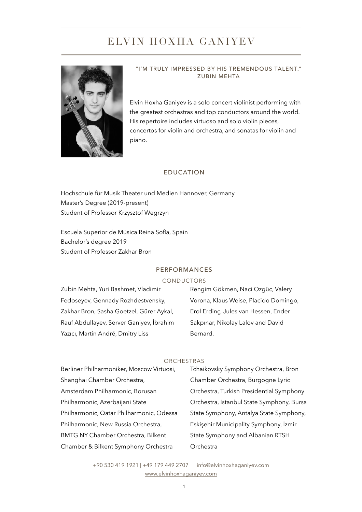

#### "I'M TRULY IMPRESSED BY HIS TREMENDOUS TALENT." ZUBIN MEHTA

Elvin Hoxha Ganiyev is a solo concert violinist performing with the greatest orchestras and top conductors around the world. His repertoire includes virtuoso and solo violin pieces, concertos for violin and orchestra, and sonatas for violin and piano.

# EDUCATION

Hochschule für Musik Theater und Medien Hannover, Germany Master's Degree (2019-present) Student of Professor Krzysztof Wegrzyn

Escuela Superior de Música Reina Sofía, Spain Bachelor's degree 2019 Student of Professor Zakhar Bron

## PERFORMANCES

### CONDUCTORS

Zubin Mehta, Yuri Bashmet, Vladimir Fedoseyev, Gennady Rozhdestvensky, Zakhar Bron, Sasha Goetzel, Gürer Aykal, Rauf Abdullayev, Server Ganiyev, İbrahim Yazıcı, Martin André, Dmitry Liss

Rengim Gökmen, Naci Ozgüc, Valery Vorona, Klaus Weise, Placido Domingo, Erol Erdinç, Jules van Hessen, Ender Sakpınar, Nikolay Lalov and David Bernard.

### ORCHESTRAS

Berliner Philharmoniker, Moscow Virtuosi, Shanghai Chamber Orchestra, Amsterdam Philharmonic, Borusan Philharmonic, Azerbaijani State Philharmonic, Qatar Philharmonic, Odessa Philharmonic, New Russia Orchestra, BMTG NY Chamber Orchestra, Bilkent Chamber & Bilkent Symphony Orchestra

Tchaikovsky Symphony Orchestra, Bron Chamber Orchestra, Burgogne Lyric Orchestra, Turkish Presidential Symphony Orchestra, İstanbul State Symphony, Bursa State Symphony, Antalya State Symphony, Eskişehir Municipality Symphony, İzmir State Symphony and Albanian RTSH Orchestra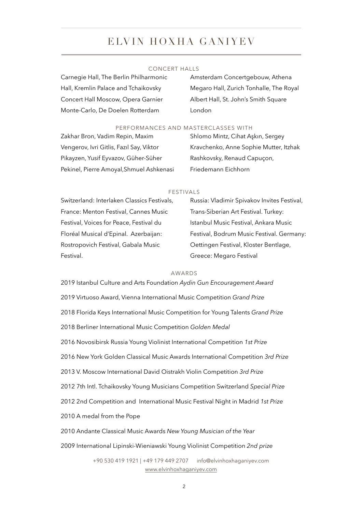#### CONCERT HALLS

Carnegie Hall, The Berlin Philharmonic Hall, Kremlin Palace and Tchaikovsky Concert Hall Moscow, Opera Garnier Monte-Carlo, De Doelen Rotterdam

Amsterdam Concertgebouw, Athena Megaro Hall, Zurich Tonhalle, The Royal Albert Hall, St. John's Smith Square London

## PERFORMANCES AND MASTERCLASSES WITH

Zakhar Bron, Vadim Repin, Maxim Vengerov, Ivri Gitlis, Fazıl Say, Viktor Pikayzen, Yusif Eyvazov, Güher-Süher Pekinel, Pierre Amoyal,Shmuel Ashkenasi Shlomo Mintz, Cihat Aşkın, Sergey Kravchenko, Anne Sophie Mutter, Itzhak Rashkovsky, Renaud Capuçon, Friedemann Eichhorn

#### FESTIVALS

Switzerland: Interlaken Classics Festivals, France: Menton Festival, Cannes Music Festival, Voices for Peace, Festival du Floréal Musical d'Epinal. Azerbaijan: Rostropovich Festival, Gabala Music Festival.

Russia: Vladimir Spivakov Invites Festival, Trans-Siberian Art Festival. Turkey: Istanbul Music Festival, Ankara Music Festival, Bodrum Music Festival. Germany: Oettingen Festival, Kloster Bentlage, Greece: Megaro Festival

#### AWARDS

2019 Istanbul Culture and Arts Foundation *Aydin Gun Encouragement Award* 2019 Virtuoso Award, Vienna International Music Competition *Grand Prize* 2018 Florida Keys International Music Competition for Young Talents *Grand Prize*  2018 Berliner International Music Competition *Golden Medal*  2016 Novosibirsk Russia Young Violinist International Competition *1st Prize* 2016 New York Golden Classical Music Awards International Competition *3rd Prize*  2013 V. Moscow International David Oistrakh Violin Competition *3rd Prize* 2012 7th Intl. Tchaikovsky Young Musicians Competition Switzerland *Special Prize* 2012 2nd Competition and International Music Festival Night in Madrid *1st Prize* 2010 A medal from the Pope 2010 Andante Classical Music Awards *New Young Musician of the Year* 2009 International Lipinski-Wieniawski Young Violinist Competition *2nd prize*  +90 530 419 1921 | +49 179 449 2707 info@elvinhoxhaganiyev.com

[www.elvinhoxhaganiyev.com](http://www.elvinhoxhaganiyev.com)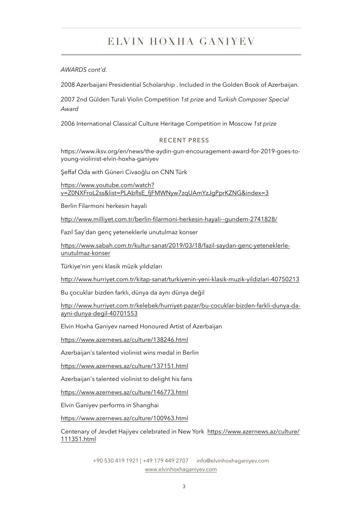## *AWARDS cont'd.*

2008 Azerbaijani Presidential Scholarship . Included in the Golden Book of Azerbaijan.

2007 2nd Gülden Turalı Violin Competition *1st prize* and *Turkish Composer Special Award* 

2006 International Classical Culture Heritage Competition in Moscow *1st prize*

### RECENT PRESS

https://www.iksv.org/en/news/the-aydin-gun-encouragement-award-for-2019-goes-toyoung-violinist-elvin-hoxha-ganiyev

Şeffaf Oda with Güneri Civaoğlu on CNN Türk

[https://www.youtube.com/watch?](https://www.youtube.com/watch?v=Z0NXFroL2ss&list=PLAbfIsE_fjFMWNyw7zqUAmYzJgPprKZNG&index=3) [v=Z0NXFroL2ss&list=PLAbfIsE\\_fjFMWNyw7zqUAmYzJgPprKZNG&index=3](https://www.youtube.com/watch?v=Z0NXFroL2ss&list=PLAbfIsE_fjFMWNyw7zqUAmYzJgPprKZNG&index=3)

Berlin Filarmoni herkesin hayali

<http://www.milliyet.com.tr/berlin-filarmoni-herkesin-hayali--gundem-2741828/>

Fazıl Say'dan genç yeteneklerle unutulmaz konser

[https://www.sabah.com.tr/kultur-sanat/2019/03/18/fazil-saydan-genc-yeteneklerle](https://www.sabah.com.tr/kultur-sanat/2019/03/18/fazil-saydan-genc-yeteneklerle-unutulmaz-konser)[unutulmaz-konser](https://www.sabah.com.tr/kultur-sanat/2019/03/18/fazil-saydan-genc-yeteneklerle-unutulmaz-konser)

Türkiye'nin yeni klasik müzik yıldızları

<http://www.hurriyet.com.tr/kitap-sanat/turkiyenin-yeni-klasik-muzik-yildizlari-40750213>

Bu çocuklar bizden farklı, dünya da aynı dünya değil

[http://www.hurriyet.com.tr/kelebek/hurriyet-pazar/bu-cocuklar-bizden-farkli-dunya-da](http://www.hurriyet.com.tr/kelebek/hurriyet-pazar/bu-cocuklar-bizden-farkli-dunya-da-ayni-dunya-degil-40701553)[ayni-dunya-degil-40701553](http://www.hurriyet.com.tr/kelebek/hurriyet-pazar/bu-cocuklar-bizden-farkli-dunya-da-ayni-dunya-degil-40701553)

Elvin Hoxha Ganiyev named Honoured Artist of Azerbaijan

<https://www.azernews.az/culture/138246.html>

Azerbaijan's talented violinist wins medal in Berlin

<https://www.azernews.az/culture/137151.html>

Azerbaijan's talented violinist to delight his fans

<https://www.azernews.az/culture/146773.html>

Elvin Ganiyev performs in Shanghai

<https://www.azernews.az/culture/100963.html>

Centenary of Jevdet Hajiyev celebrated in New York [https://www.azernews.az/culture/](https://www.azernews.az/culture/111351.html) [111351.html](https://www.azernews.az/culture/111351.html)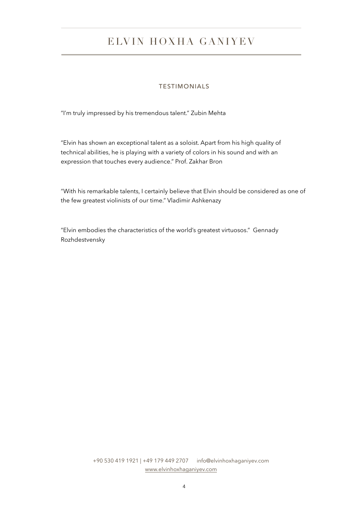# TESTIMONIALS

"I'm truly impressed by his tremendous talent." Zubin Mehta

"Elvin has shown an exceptional talent as a soloist. Apart from his high quality of technical abilities, he is playing with a variety of colors in his sound and with an expression that touches every audience." Prof. Zakhar Bron

"With his remarkable talents, I certainly believe that Elvin should be considered as one of the few greatest violinists of our time." Vladimir Ashkenazy

"Elvin embodies the characteristics of the world's greatest virtuosos." Gennady Rozhdestvensky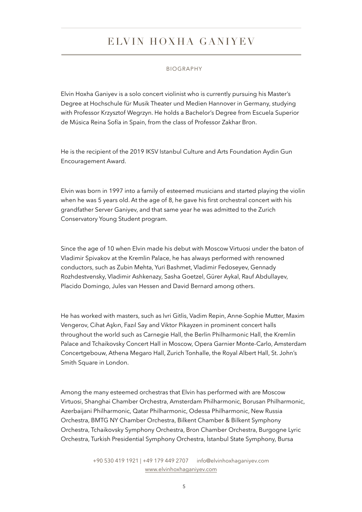### BIOGRAPHY

Elvin Hoxha Ganiyev is a solo concert violinist who is currently pursuing his Master's Degree at Hochschule für Musik Theater und Medien Hannover in Germany, studying with Professor Krzysztof Wegrzyn. He holds a Bachelor's Degree from Escuela Superior de Música Reina Sofía in Spain, from the class of Professor Zakhar Bron.

He is the recipient of the 2019 IKSV Istanbul Culture and Arts Foundation Aydin Gun Encouragement Award.

Elvin was born in 1997 into a family of esteemed musicians and started playing the violin when he was 5 years old. At the age of 8, he gave his first orchestral concert with his grandfather Server Ganiyev, and that same year he was admitted to the Zurich Conservatory Young Student program.

Since the age of 10 when Elvin made his debut with Moscow Virtuosi under the baton of Vladimir Spivakov at the Kremlin Palace, he has always performed with renowned conductors, such as Zubin Mehta, Yuri Bashmet, Vladimir Fedoseyev, Gennady Rozhdestvensky, Vladimir Ashkenazy, Sasha Goetzel, Gürer Aykal, Rauf Abdullayev, Placido Domingo, Jules van Hessen and David Bernard among others.

He has worked with masters, such as Ivri Gitlis, Vadim Repin, Anne-Sophie Mutter, Maxim Vengerov, Cihat Aşkın, Fazıl Say and Viktor Pikayzen in prominent concert halls throughout the world such as Carnegie Hall, the Berlin Philharmonic Hall, the Kremlin Palace and Tchaikovsky Concert Hall in Moscow, Opera Garnier Monte-Carlo, Amsterdam Concertgebouw, Athena Megaro Hall, Zurich Tonhalle, the Royal Albert Hall, St. John's Smith Square in London.

Among the many esteemed orchestras that Elvin has performed with are Moscow Virtuosi, Shanghai Chamber Orchestra, Amsterdam Philharmonic, Borusan Philharmonic, Azerbaijani Philharmonic, Qatar Philharmonic, Odessa Philharmonic, New Russia Orchestra, BMTG NY Chamber Orchestra, Bilkent Chamber & Bilkent Symphony Orchestra, Tchaikovsky Symphony Orchestra, Bron Chamber Orchestra, Burgogne Lyric Orchestra, Turkish Presidential Symphony Orchestra, İstanbul State Symphony, Bursa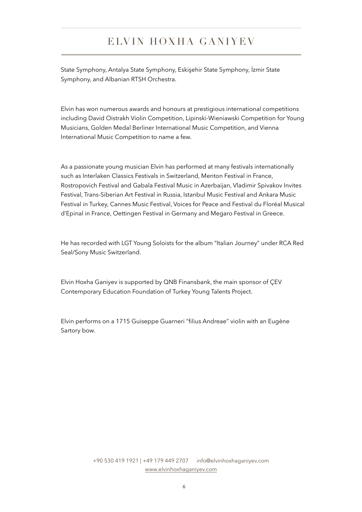State Symphony, Antalya State Symphony, Eskişehir State Symphony, İzmir State Symphony, and Albanian RTSH Orchestra.

Elvin has won numerous awards and honours at prestigious international competitions including David Oistrakh Violin Competition, Lipinski-Wieniawski Competition for Young Musicians, Golden Medal Berliner International Music Competition, and Vienna International Music Competition to name a few.

As a passionate young musician Elvin has performed at many festivals internationally such as Interlaken Classics Festivals in Switzerland, Menton Festival in France, Rostropovich Festival and Gabala Festival Music in Azerbaijan, Vladimir Spivakov Invites Festival, Trans-Siberian Art Festival in Russia, Istanbul Music Festival and Ankara Music Festival in Turkey, Cannes Music Festival, Voices for Peace and Festival du Floréal Musical d'Epinal in France, Oettingen Festival in Germany and Megaro Festival in Greece.

He has recorded with LGT Young Soloists for the album "Italian Journey" under RCA Red Seal/Sony Music Switzerland.

Elvin Hoxha Ganiyev is supported by QNB Finansbank, the main sponsor of ÇEV Contemporary Education Foundation of Turkey Young Talents Project.

Elvin performs on a 1715 Guiseppe Guarneri "filius Andreae" violin with an Eugène Sartory bow.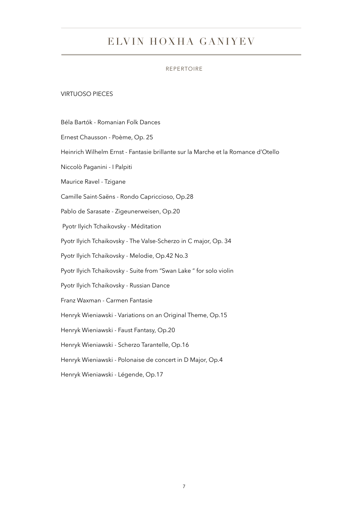### REPERTOIRE

### VIRTUOSO PIECES

Béla Bartók - Romanian Folk Dances Ernest Chausson - Poème, Op. 25 Heinrich Wilhelm Ernst - Fantasie brillante sur la Marche et la Romance d'Otello Niccolò Paganini - I Palpiti Maurice Ravel - Tzigane Camille Saint-Saëns - Rondo Capriccioso, Op.28 Pablo de Sarasate - Zigeunerweisen, Op.20 Pyotr Ilyich Tchaikovsky - Méditation Pyotr Ilyich Tchaikovsky - The Valse-Scherzo in C major, Op. 34 Pyotr Ilyich Tchaikovsky - Melodie, Op.42 No.3 Pyotr Ilyich Tchaikovsky - Suite from "Swan Lake " for solo violin Pyotr Ilyich Tchaikovsky - Russian Dance Franz Waxman - Carmen Fantasie Henryk Wieniawski - Variations on an Original Theme, Op.15 Henryk Wieniawski - Faust Fantasy, Op.20 Henryk Wieniawski - Scherzo Tarantelle, Op.16 Henryk Wieniawski - Polonaise de concert in D Major, Op.4 Henryk Wieniawski - Légende, Op.17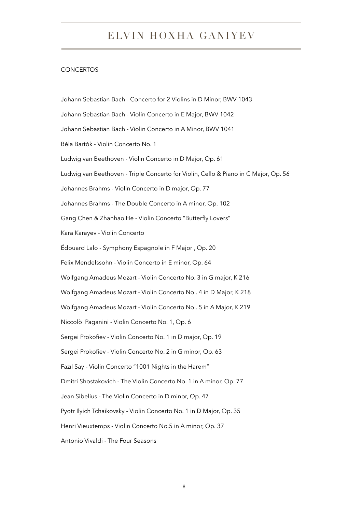## **CONCERTOS**

Johann Sebastian Bach - Concerto for 2 Violins in D Minor, BWV 1043 Johann Sebastian Bach - Violin Concerto in E Major, BWV 1042 Johann Sebastian Bach - Violin Concerto in A Minor, BWV 1041 Béla Bartók - Violin Concerto No. 1 Ludwig van Beethoven - Violin Concerto in D Major, Op. 61 Ludwig van Beethoven - Triple Concerto for Violin, Cello & Piano in C Major, Op. 56 Johannes Brahms - Violin Concerto in D major, Op. 77 Johannes Brahms - The Double Concerto in A minor, Op. 102 Gang Chen & Zhanhao He - Violin Concerto "Butterfly Lovers" Kara Karayev - Violin Concerto Édouard Lalo - Symphony Espagnole in F Major , Op. 20 Felix Mendelssohn - Violin Concerto in E minor, Op. 64 Wolfgang Amadeus Mozart - Violin Concerto No. 3 in G major, K 216 Wolfgang Amadeus Mozart - Violin Concerto No . 4 in D Major, K 218 Wolfgang Amadeus Mozart - Violin Concerto No . 5 in A Major, K 219 Niccolò Paganini - Violin Concerto No. 1, Op. 6 Sergei Prokofiev - Violin Concerto No. 1 in D major, Op. 19 Sergei Prokofiev - Violin Concerto No. 2 in G minor, Op. 63 Fazıl Say - Violin Concerto "1001 Nights in the Harem" Dmitri Shostakovich - The Violin Concerto No. 1 in A minor, Op. 77 Jean Sibelius - The Violin Concerto in D minor, Op. 47 Pyotr Ilyich Tchaikovsky - Violin Concerto No. 1 in D Major, Op. 35 Henri Vieuxtemps - Violin Concerto No.5 in A minor, Op. 37 Antonio Vivaldi - The Four Seasons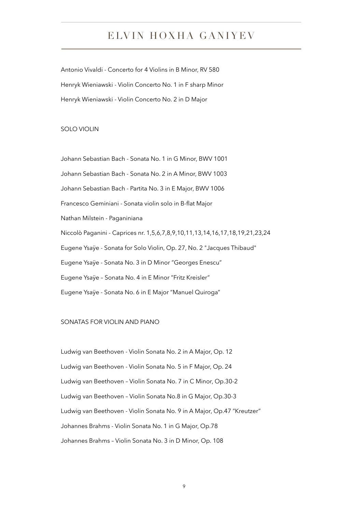Antonio Vivaldi - Concerto for 4 Violins in B Minor, RV 580 Henryk Wieniawski - Violin Concerto No. 1 in F sharp Minor Henryk Wieniawski - Violin Concerto No. 2 in D Major

### SOLO VIOLIN

Johann Sebastian Bach - Sonata No. 1 in G Minor, BWV 1001 Johann Sebastian Bach - Sonata No. 2 in A Minor, BWV 1003 Johann Sebastian Bach - Partita No. 3 in E Major, BWV 1006 Francesco Geminiani - Sonata violin solo in B-flat Major Nathan Milstein - Paganiniana Niccolò Paganini - Caprices nr. 1,5,6,7,8,9,10,11,13,14,16,17,18,19,21,23,24 Eugene Ysaÿe - Sonata for Solo Violin, Op. 27, No. 2 "Jacques Thibaud" Eugene Ysaÿe - Sonata No. 3 in D Minor "Georges Enescu" Eugene Ysaÿe – Sonata No. 4 in E Minor "Fritz Kreisler" Eugene Ysaÿe - Sonata No. 6 in E Major "Manuel Quiroga"

### SONATAS FOR VIOLIN AND PIANO

Ludwig van Beethoven - Violin Sonata No. 2 in A Major, Op. 12 Ludwig van Beethoven - Violin Sonata No. 5 in F Major, Op. 24 Ludwig van Beethoven – Violin Sonata No. 7 in C Minor, Op.30-2 Ludwig van Beethoven – Violin Sonata No.8 in G Major, Op.30-3 Ludwig van Beethoven - Violin Sonata No. 9 in A Major, Op.47 "Kreutzer" Johannes Brahms - Violin Sonata No. 1 in G Major, Op.78 Johannes Brahms – Violin Sonata No. 3 in D Minor, Op. 108